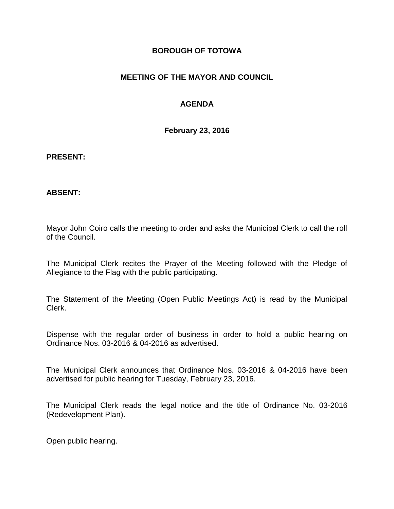### **BOROUGH OF TOTOWA**

## **MEETING OF THE MAYOR AND COUNCIL**

## **AGENDA**

**February 23, 2016**

#### **PRESENT:**

### **ABSENT:**

Mayor John Coiro calls the meeting to order and asks the Municipal Clerk to call the roll of the Council.

The Municipal Clerk recites the Prayer of the Meeting followed with the Pledge of Allegiance to the Flag with the public participating.

The Statement of the Meeting (Open Public Meetings Act) is read by the Municipal Clerk.

Dispense with the regular order of business in order to hold a public hearing on Ordinance Nos. 03-2016 & 04-2016 as advertised.

The Municipal Clerk announces that Ordinance Nos. 03-2016 & 04-2016 have been advertised for public hearing for Tuesday, February 23, 2016.

The Municipal Clerk reads the legal notice and the title of Ordinance No. 03-2016 (Redevelopment Plan).

Open public hearing.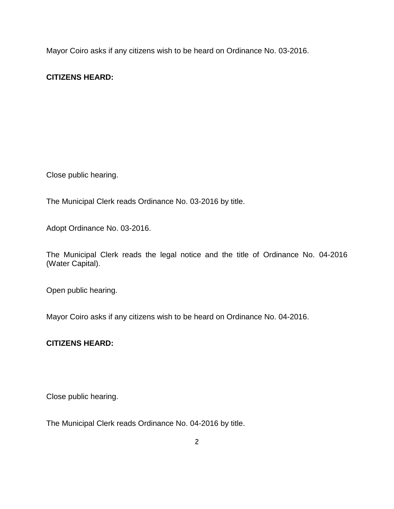Mayor Coiro asks if any citizens wish to be heard on Ordinance No. 03-2016.

# **CITIZENS HEARD:**

Close public hearing.

The Municipal Clerk reads Ordinance No. 03-2016 by title.

Adopt Ordinance No. 03-2016.

The Municipal Clerk reads the legal notice and the title of Ordinance No. 04-2016 (Water Capital).

Open public hearing.

Mayor Coiro asks if any citizens wish to be heard on Ordinance No. 04-2016.

### **CITIZENS HEARD:**

Close public hearing.

The Municipal Clerk reads Ordinance No. 04-2016 by title.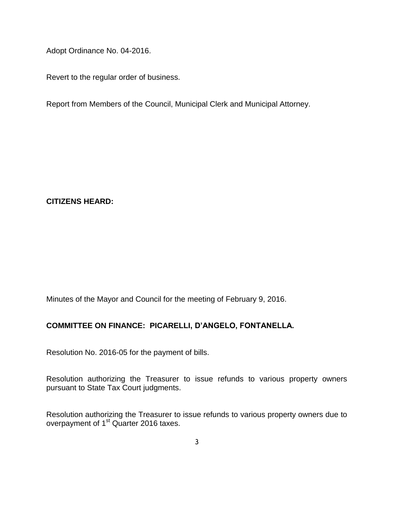Adopt Ordinance No. 04-2016.

Revert to the regular order of business.

Report from Members of the Council, Municipal Clerk and Municipal Attorney.

**CITIZENS HEARD:**

Minutes of the Mayor and Council for the meeting of February 9, 2016.

# **COMMITTEE ON FINANCE: PICARELLI, D'ANGELO, FONTANELLA.**

Resolution No. 2016-05 for the payment of bills.

Resolution authorizing the Treasurer to issue refunds to various property owners pursuant to State Tax Court judgments.

Resolution authorizing the Treasurer to issue refunds to various property owners due to overpayment of 1<sup>st</sup> Quarter 2016 taxes.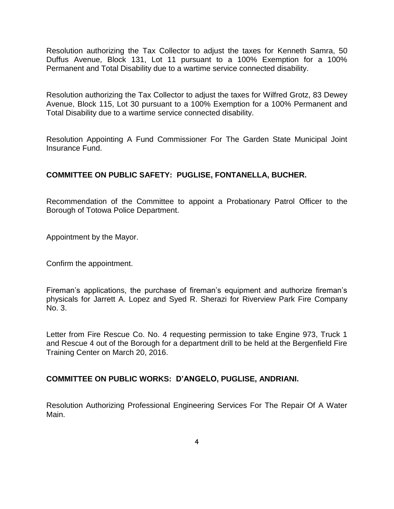Resolution authorizing the Tax Collector to adjust the taxes for Kenneth Samra, 50 Duffus Avenue, Block 131, Lot 11 pursuant to a 100% Exemption for a 100% Permanent and Total Disability due to a wartime service connected disability.

Resolution authorizing the Tax Collector to adjust the taxes for Wilfred Grotz, 83 Dewey Avenue, Block 115, Lot 30 pursuant to a 100% Exemption for a 100% Permanent and Total Disability due to a wartime service connected disability.

Resolution Appointing A Fund Commissioner For The Garden State Municipal Joint Insurance Fund.

# **COMMITTEE ON PUBLIC SAFETY: PUGLISE, FONTANELLA, BUCHER.**

Recommendation of the Committee to appoint a Probationary Patrol Officer to the Borough of Totowa Police Department.

Appointment by the Mayor.

Confirm the appointment.

Fireman's applications, the purchase of fireman's equipment and authorize fireman's physicals for Jarrett A. Lopez and Syed R. Sherazi for Riverview Park Fire Company No. 3.

Letter from Fire Rescue Co. No. 4 requesting permission to take Engine 973, Truck 1 and Rescue 4 out of the Borough for a department drill to be held at the Bergenfield Fire Training Center on March 20, 2016.

### **COMMITTEE ON PUBLIC WORKS: D'ANGELO, PUGLISE, ANDRIANI.**

Resolution Authorizing Professional Engineering Services For The Repair Of A Water Main.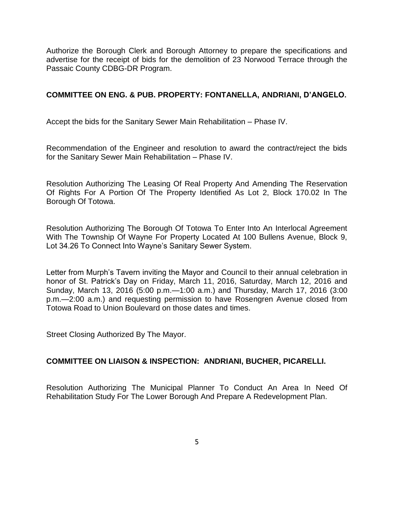Authorize the Borough Clerk and Borough Attorney to prepare the specifications and advertise for the receipt of bids for the demolition of 23 Norwood Terrace through the Passaic County CDBG-DR Program.

### **COMMITTEE ON ENG. & PUB. PROPERTY: FONTANELLA, ANDRIANI, D'ANGELO.**

Accept the bids for the Sanitary Sewer Main Rehabilitation – Phase IV.

Recommendation of the Engineer and resolution to award the contract/reject the bids for the Sanitary Sewer Main Rehabilitation – Phase IV.

Resolution Authorizing The Leasing Of Real Property And Amending The Reservation Of Rights For A Portion Of The Property Identified As Lot 2, Block 170.02 In The Borough Of Totowa.

Resolution Authorizing The Borough Of Totowa To Enter Into An Interlocal Agreement With The Township Of Wayne For Property Located At 100 Bullens Avenue, Block 9, Lot 34.26 To Connect Into Wayne's Sanitary Sewer System.

Letter from Murph's Tavern inviting the Mayor and Council to their annual celebration in honor of St. Patrick's Day on Friday, March 11, 2016, Saturday, March 12, 2016 and Sunday, March 13, 2016 (5:00 p.m.—1:00 a.m.) and Thursday, March 17, 2016 (3:00 p.m.—2:00 a.m.) and requesting permission to have Rosengren Avenue closed from Totowa Road to Union Boulevard on those dates and times.

Street Closing Authorized By The Mayor.

### **COMMITTEE ON LIAISON & INSPECTION: ANDRIANI, BUCHER, PICARELLI.**

Resolution Authorizing The Municipal Planner To Conduct An Area In Need Of Rehabilitation Study For The Lower Borough And Prepare A Redevelopment Plan.